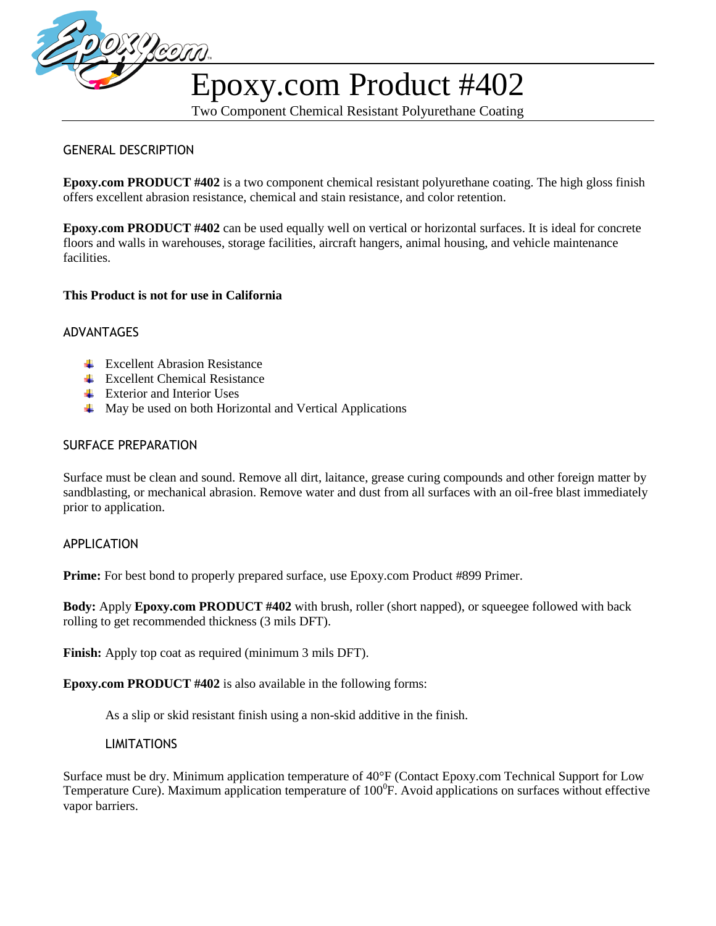

# Epoxy.com Product #402

Two Component Chemical Resistant Polyurethane Coating

#### GENERAL DESCRIPTION

**Epoxy.com PRODUCT #402** is a two component chemical resistant polyurethane coating. The high gloss finish offers excellent abrasion resistance, chemical and stain resistance, and color retention.

**Epoxy.com PRODUCT #402** can be used equally well on vertical or horizontal surfaces. It is ideal for concrete floors and walls in warehouses, storage facilities, aircraft hangers, animal housing, and vehicle maintenance facilities.

#### **This Product is not for use in California**

#### ADVANTAGES

- $\overline{\phantom{a}}$  Excellent Abrasion Resistance
- $\overline{\phantom{a}}$  Excellent Chemical Resistance
- $\overline{\phantom{a}}$  Exterior and Interior Uses
- $\overline{\phantom{a}}$  May be used on both Horizontal and Vertical Applications

#### SURFACE PREPARATION

Surface must be clean and sound. Remove all dirt, laitance, grease curing compounds and other foreign matter by sandblasting, or mechanical abrasion. Remove water and dust from all surfaces with an oil-free blast immediately prior to application.

#### APPLICATION

**Prime:** For best bond to properly prepared surface, use Epoxy.com Product #899 Primer.

**Body:** Apply **Epoxy.com PRODUCT #402** with brush, roller (short napped), or squeegee followed with back rolling to get recommended thickness (3 mils DFT).

**Finish:** Apply top coat as required (minimum 3 mils DFT).

**Epoxy.com PRODUCT #402** is also available in the following forms:

As a slip or skid resistant finish using a non-skid additive in the finish.

#### LIMITATIONS

Surface must be dry. Minimum application temperature of 40°F (Contact Epoxy.com Technical Support for Low Temperature Cure). Maximum application temperature of  $100^{\circ}$ F. Avoid applications on surfaces without effective vapor barriers.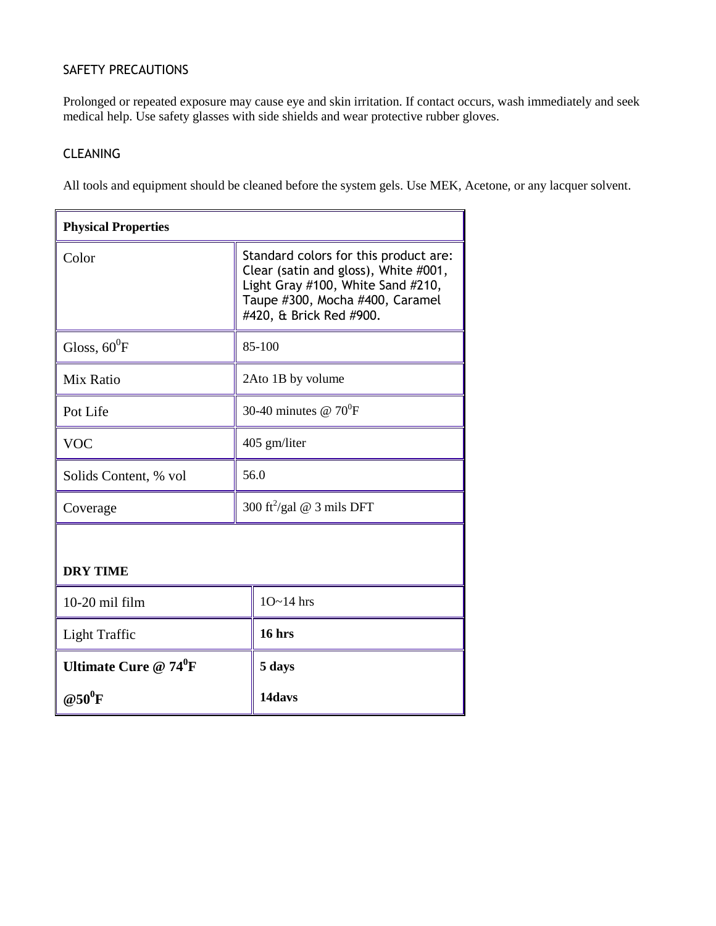### SAFETY PRECAUTIONS

Prolonged or repeated exposure may cause eye and skin irritation. If contact occurs, wash immediately and seek medical help. Use safety glasses with side shields and wear protective rubber gloves.

#### CLEANING

All tools and equipment should be cleaned before the system gels. Use MEK, Acetone, or any lacquer solvent.

| <b>Physical Properties</b> |                                                                                                                                                                                  |  |  |  |
|----------------------------|----------------------------------------------------------------------------------------------------------------------------------------------------------------------------------|--|--|--|
| Color                      | Standard colors for this product are:<br>Clear (satin and gloss), White #001,<br>Light Gray #100, White Sand #210,<br>Taupe #300, Mocha #400, Caramel<br>#420, & Brick Red #900. |  |  |  |
| Gloss, $60^0$ F            | 85-100                                                                                                                                                                           |  |  |  |
| Mix Ratio                  | 2Ato 1B by volume                                                                                                                                                                |  |  |  |
| Pot Life                   | 30-40 minutes @ $70^0$ F                                                                                                                                                         |  |  |  |
| <b>VOC</b>                 | 405 gm/liter                                                                                                                                                                     |  |  |  |
| Solids Content, % vol      | 56.0                                                                                                                                                                             |  |  |  |
| Coverage                   | 300 ft <sup>2</sup> /gal @ 3 mils DFT                                                                                                                                            |  |  |  |
|                            |                                                                                                                                                                                  |  |  |  |
| <b>DRY TIME</b>            |                                                                                                                                                                                  |  |  |  |
| $10-20$ mil film           | $10~14$ hrs                                                                                                                                                                      |  |  |  |
| Light Traffic              | 16 hrs                                                                                                                                                                           |  |  |  |
| Ultimate Cure $@74^0F$     | 5 days                                                                                                                                                                           |  |  |  |
| @50 $\rm ^{o}F$            | 14davs                                                                                                                                                                           |  |  |  |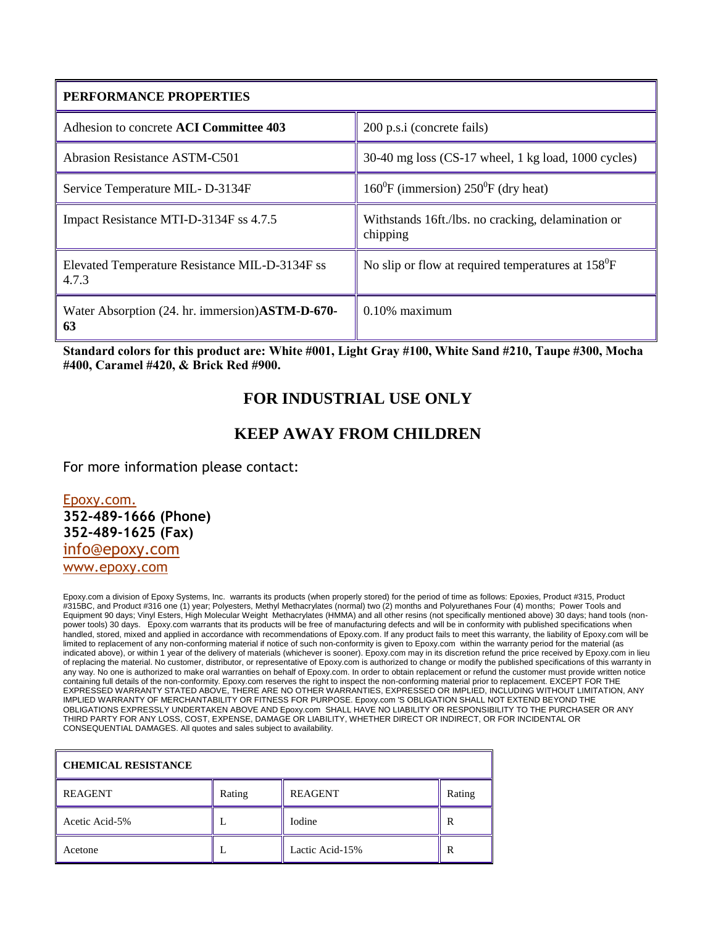| PERFORMANCE PROPERTIES                                  |                                                                |  |  |
|---------------------------------------------------------|----------------------------------------------------------------|--|--|
| Adhesion to concrete ACI Committee 403                  | 200 p.s.i (concrete fails)                                     |  |  |
| <b>Abrasion Resistance ASTM-C501</b>                    | $30-40$ mg loss (CS-17 wheel, 1 kg load, 1000 cycles)          |  |  |
| Service Temperature MIL-D-3134F                         | $160^{\circ}$ F (immersion) $250^{\circ}$ F (dry heat)         |  |  |
| Impact Resistance MTI-D-3134F ss 4.7.5                  | Withstands 16ft./lbs. no cracking, delamination or<br>chipping |  |  |
| Elevated Temperature Resistance MIL-D-3134F ss<br>4.7.3 | No slip or flow at required temperatures at 158 <sup>°</sup> F |  |  |
| Water Absorption (24. hr. immersion) ASTM-D-670-<br>63  | $0.10\%$ maximum                                               |  |  |

**Standard colors for this product are: White #001, Light Gray #100, White Sand #210, Taupe #300, Mocha #400, Caramel #420, & Brick Red #900.**

## **FOR INDUSTRIAL USE ONLY**

## **KEEP AWAY FROM CHILDREN**

For more information please contact:

[Epoxy.com.](http://localhost/myweb/systems.htm) [info@epoxy.com](mailto:info@epoxy.com) [www.epoxy.com](http://www.epoxy.com/) **352-489-1666 (Phone) 352-489-1625 (Fax)** 

Epoxy.com a division of Epoxy Systems, Inc. warrants its products (when properly stored) for the period of time as follows: Epoxies, Product #315, Product #315BC, and Product #316 one (1) year; Polyesters, Methyl Methacrylates (normal) two (2) months and Polyurethanes Four (4) months; Power Tools and Equipment 90 days; Vinyl Esters, High Molecular Weight Methacrylates (HMMA) and all other resins (not specifically mentioned above) 30 days; hand tools (nonpower tools) 30 days. Epoxy.com warrants that its products will be free of manufacturing defects and will be in conformity with published specifications when handled, stored, mixed and applied in accordance with recommendations of Epoxy.com. If any product fails to meet this warranty, the liability of Epoxy.com will be limited to replacement of any non-conforming material if notice of such non-conformity is given to Epoxy.com within the warranty period for the material (as indicated above), or within 1 year of the delivery of materials (whichever is sooner). Epoxy.com may in its discretion refund the price received by Epoxy.com in lieu of replacing the material. No customer, distributor, or representative of Epoxy.com is authorized to change or modify the published specifications of this warranty in any way. No one is authorized to make oral warranties on behalf of Epoxy.com. In order to obtain replacement or refund the customer must provide written notice containing full details of the non-conformity. Epoxy.com reserves the right to inspect the non-conforming material prior to replacement. EXCEPT FOR THE EXPRESSED WARRANTY STATED ABOVE, THERE ARE NO OTHER WARRANTIES, EXPRESSED OR IMPLIED, INCLUDING WITHOUT LIMITATION, ANY IMPLIED WARRANTY OF MERCHANTABILITY OR FITNESS FOR PURPOSE. Epoxy.com 'S OBLIGATION SHALL NOT EXTEND BEYOND THE OBLIGATIONS EXPRESSLY UNDERTAKEN ABOVE AND Epoxy.com SHALL HAVE NO LIABILITY OR RESPONSIBILITY TO THE PURCHASER OR ANY THIRD PARTY FOR ANY LOSS, COST, EXPENSE, DAMAGE OR LIABILITY, WHETHER DIRECT OR INDIRECT, OR FOR INCIDENTAL OR CONSEQUENTIAL DAMAGES. All quotes and sales subject to availability.

| <b>CHEMICAL RESISTANCE</b> |        |                 |        |  |  |  |
|----------------------------|--------|-----------------|--------|--|--|--|
| <b>REAGENT</b>             | Rating | <b>REAGENT</b>  | Rating |  |  |  |
| Acetic Acid-5%             |        | <b>Iodine</b>   | R      |  |  |  |
| Acetone                    |        | Lactic Acid-15% | R      |  |  |  |